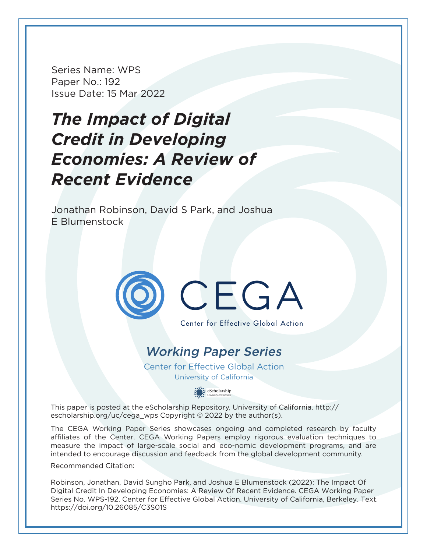Series Name: WPS Paper No.: 192 Issue Date: 15 Mar 2022

# **The Impact of Digital Credit in Developing Economies: A Review of Recent Evidence**

Jonathan Robinson, David S Park, and Joshua E Blumenstock



# Working Paper Series

Center for Effective Global Action University of California

eScholarship

This paper is posted at the eScholarship Repository, University of California. http:// escholarship.org/uc/cega\_wps Copyright  $\odot$  2022 by the author(s).

The CEGA Working Paper Series showcases ongoing and completed research by faculty affiliates of the Center. CEGA Working Papers employ rigorous evaluation techniques to measure the impact of large-scale social and eco-nomic development programs, and are intended to encourage discussion and feedback from the global development community.

Recommended Citation:

Robinson, Jonathan, David Sungho Park, and Joshua E Blumenstock (2022): The Impact Of Digital Credit In Developing Economies: A Review Of Recent Evidence. CEGA Working Paper Series No. WPS-192. Center for Effective Global Action. University of California, Berkeley. Text. https://doi.org/10.26085/C3S01S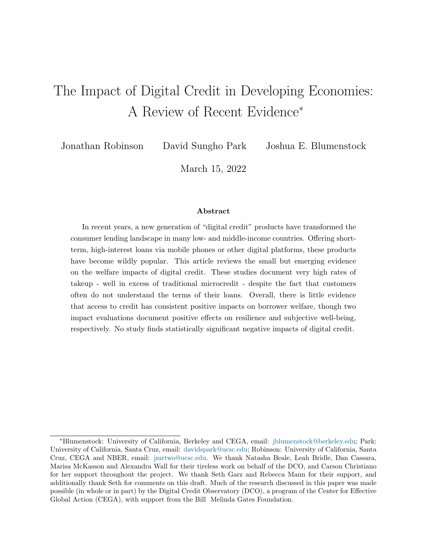## <span id="page-1-0"></span>The Impact of Digital Credit in Developing Economies: A Review of Recent Evidence<sup>∗</sup>

Jonathan Robinson David Sungho Park Joshua E. Blumenstock

March 15, 2022

#### Abstract

In recent years, a new generation of "digital credit" products have transformed the consumer lending landscape in many low- and middle-income countries. Offering shortterm, high-interest loans via mobile phones or other digital platforms, these products have become wildly popular. This article reviews the small but emerging evidence on the welfare impacts of digital credit. These studies document very high rates of takeup - well in excess of traditional microcredit - despite the fact that customers often do not understand the terms of their loans. Overall, there is little evidence that access to credit has consistent positive impacts on borrower welfare, though two impact evaluations document positive effects on resilience and subjective well-being, respectively. No study finds statistically significant negative impacts of digital credit.

<sup>∗</sup>Blumenstock: University of California, Berkeley and CEGA, email: [jblumenstock@berkeley.edu;](mailto:jblumenstock@berkeley.edu) Park: University of California, Santa Cruz, email: [davidspark@ucsc.edu;](mailto:davidspark@ucsc.edu) Robinson: University of California, Santa Cruz, CEGA and NBER, email: [jmrtwo@ucsc.edu.](mailto:jmrtwo@ucsc.edu) We thank Natasha Beale, Leah Bridle, Dan Cassara, Marisa McKasson and Alexandra Wall for their tireless work on behalf of the DCO, and Carson Christiano for her support throughout the project. We thank Seth Garz and Rebecca Mann for their support, and additionally thank Seth for comments on this draft. Much of the research discussed in this paper was made possible (in whole or in part) by the Digital Credit Observatory (DCO), a program of the Center for Effective Global Action (CEGA), with support from the Bill Melinda Gates Foundation.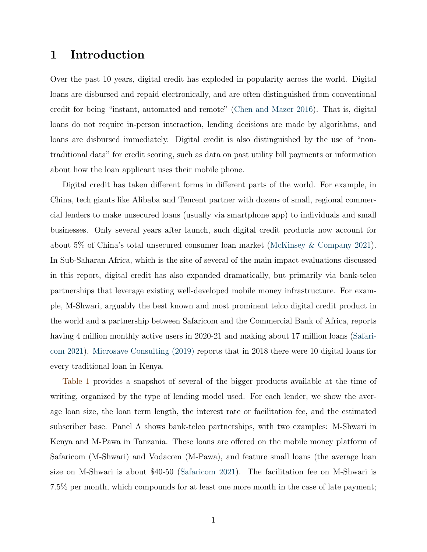## 1 Introduction

Over the past 10 years, digital credit has exploded in popularity across the world. Digital loans are disbursed and repaid electronically, and are often distinguished from conventional credit for being "instant, automated and remote" [\(Chen and Mazer](#page-24-0) [2016\)](#page-24-0). That is, digital loans do not require in-person interaction, lending decisions are made by algorithms, and loans are disbursed immediately. Digital credit is also distinguished by the use of "nontraditional data" for credit scoring, such as data on past utility bill payments or information about how the loan applicant uses their mobile phone.

Digital credit has taken different forms in different parts of the world. For example, in China, tech giants like Alibaba and Tencent partner with dozens of small, regional commercial lenders to make unsecured loans (usually via smartphone app) to individuals and small businesses. Only several years after launch, such digital credit products now account for about 5% of China's total unsecured consumer loan market [\(McKinsey & Company](#page-25-0) [2021\)](#page-25-0). In Sub-Saharan Africa, which is the site of several of the main impact evaluations discussed in this report, digital credit has also expanded dramatically, but primarily via bank-telco partnerships that leverage existing well-developed mobile money infrastructure. For example, M-Shwari, arguably the best known and most prominent telco digital credit product in the world and a partnership between Safaricom and the Commercial Bank of Africa, reports having 4 million monthly active users in 2020-21 and making about 17 million loans [\(Safari](#page-26-0)com [2021\)](#page-26-0). [Microsave Consulting \(2019\)](#page-25-1) reports that in 2018 there were 10 digital loans for every traditional loan in Kenya.

[Table 1](#page-4-0) provides a snapshot of several of the bigger products available at the time of writing, organized by the type of lending model used. For each lender, we show the average loan size, the loan term length, the interest rate or facilitation fee, and the estimated subscriber base. Panel A shows bank-telco partnerships, with two examples: M-Shwari in Kenya and M-Pawa in Tanzania. These loans are offered on the mobile money platform of Safaricom (M-Shwari) and Vodacom (M-Pawa), and feature small loans (the average loan size on M-Shwari is about \$40-50 [\(Safaricom](#page-26-0) [2021\)](#page-26-0). The facilitation fee on M-Shwari is 7.5% per month, which compounds for at least one more month in the case of late payment;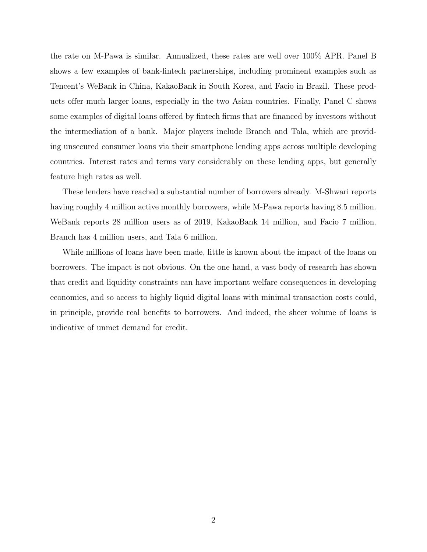the rate on M-Pawa is similar. Annualized, these rates are well over 100% APR. Panel B shows a few examples of bank-fintech partnerships, including prominent examples such as Tencent's WeBank in China, KakaoBank in South Korea, and Facio in Brazil. These products offer much larger loans, especially in the two Asian countries. Finally, Panel C shows some examples of digital loans offered by fintech firms that are financed by investors without the intermediation of a bank. Major players include Branch and Tala, which are providing unsecured consumer loans via their smartphone lending apps across multiple developing countries. Interest rates and terms vary considerably on these lending apps, but generally feature high rates as well.

These lenders have reached a substantial number of borrowers already. M-Shwari reports having roughly 4 million active monthly borrowers, while M-Pawa reports having 8.5 million. WeBank reports 28 million users as of 2019, KakaoBank 14 million, and Facio 7 million. Branch has 4 million users, and Tala 6 million.

While millions of loans have been made, little is known about the impact of the loans on borrowers. The impact is not obvious. On the one hand, a vast body of research has shown that credit and liquidity constraints can have important welfare consequences in developing economies, and so access to highly liquid digital loans with minimal transaction costs could, in principle, provide real benefits to borrowers. And indeed, the sheer volume of loans is indicative of unmet demand for credit.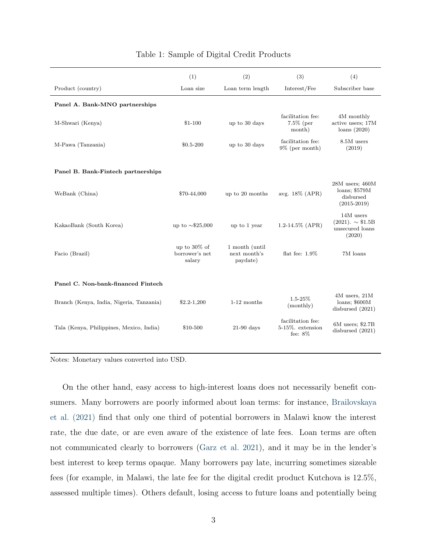<span id="page-4-0"></span>

|                                          | (1)                                      | (2)                                        | (3)                                                 | (4)                                                                  |
|------------------------------------------|------------------------------------------|--------------------------------------------|-----------------------------------------------------|----------------------------------------------------------------------|
| Product (country)                        | Loan size                                | Loan term length                           | Interest/Fee                                        | Subscriber base                                                      |
| Panel A. Bank-MNO partnerships           |                                          |                                            |                                                     |                                                                      |
| M-Shwari (Kenya)                         | $$1-100$                                 | up to 30 days                              | facilitation fee:<br>7.5% (per<br>month)            | 4M monthly<br>active users; 17M<br>loans(2020)                       |
| M-Pawa (Tanzania)                        | \$0.5-200                                | up to 30 days                              | facilitation fee:<br>$9\%$ (per month)              | 8.5M users<br>(2019)                                                 |
| Panel B. Bank-Fintech partnerships       |                                          |                                            |                                                     |                                                                      |
| WeBank (China)                           | \$70-44,000                              | up to 20 months                            | avg. 18% (APR)                                      | $28M$ users; $460M$<br>loans; \$579M<br>disbursed<br>$(2015 - 2019)$ |
| KakaoBank (South Korea)                  | up to $\sim$ \$25,000                    | up to 1 year                               | 1.2-14.5% (APR)                                     | 14M users<br>$(2021). \sim $1.5B$<br>unsecured loans<br>(2020)       |
| Facio (Brazil)                           | up to 30% of<br>borrower's net<br>salary | 1 month (until<br>next month's<br>paydate) | flat fee: $1.9\%$                                   | 7M loans                                                             |
| Panel C. Non-bank-financed Fintech       |                                          |                                            |                                                     |                                                                      |
| Branch (Kenya, India, Nigeria, Tanzania) | $$2.2-1,200$                             | 1-12 months                                | $1.5 - 25%$<br>(monthly)                            | 4M users, 21M<br>$loans;$ \$600 $M$<br>disbursed $(2021)$            |
| Tala (Kenya, Philippines, Mexico, India) | \$10-500                                 | $21-90$ days                               | facilitation fee:<br>5-15%. extension<br>fee: $8\%$ | 6M users; \$2.7B<br>disbursed (2021)                                 |
|                                          |                                          |                                            |                                                     |                                                                      |

#### Table 1: Sample of Digital Credit Products

Notes: Monetary values converted into USD.

On the other hand, easy access to high-interest loans does not necessarily benefit consumers. Many borrowers are poorly informed about loan terms: for instance, [Brailovskaya](#page-24-1) [et al. \(2021\)](#page-24-1) find that only one third of potential borrowers in Malawi know the interest rate, the due date, or are even aware of the existence of late fees. Loan terms are often not communicated clearly to borrowers [\(Garz et al.](#page-25-2) [2021\)](#page-25-2), and it may be in the lender's best interest to keep terms opaque. Many borrowers pay late, incurring sometimes sizeable fees (for example, in Malawi, the late fee for the digital credit product Kutchova is 12.5%, assessed multiple times). Others default, losing access to future loans and potentially being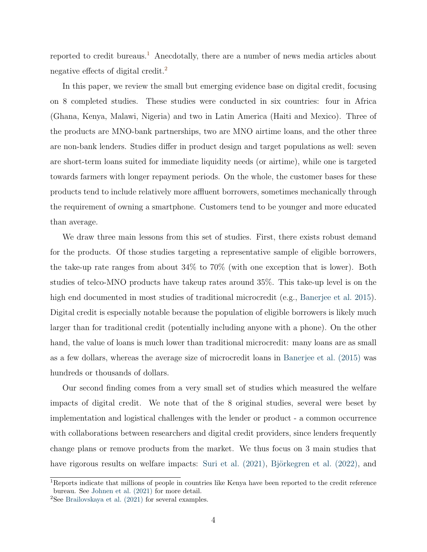reported to credit bureaus.<sup>[1](#page-5-0)</sup> Anecdotally, there are a number of news media articles about negative effects of digital credit. $^2$  $^2$ 

In this paper, we review the small but emerging evidence base on digital credit, focusing on 8 completed studies. These studies were conducted in six countries: four in Africa (Ghana, Kenya, Malawi, Nigeria) and two in Latin America (Haiti and Mexico). Three of the products are MNO-bank partnerships, two are MNO airtime loans, and the other three are non-bank lenders. Studies differ in product design and target populations as well: seven are short-term loans suited for immediate liquidity needs (or airtime), while one is targeted towards farmers with longer repayment periods. On the whole, the customer bases for these products tend to include relatively more affluent borrowers, sometimes mechanically through the requirement of owning a smartphone. Customers tend to be younger and more educated than average.

We draw three main lessons from this set of studies. First, there exists robust demand for the products. Of those studies targeting a representative sample of eligible borrowers, the take-up rate ranges from about 34% to 70% (with one exception that is lower). Both studies of telco-MNO products have takeup rates around 35%. This take-up level is on the high end documented in most studies of traditional microcredit (e.g., [Banerjee et al.](#page-24-2) [2015\)](#page-24-2). Digital credit is especially notable because the population of eligible borrowers is likely much larger than for traditional credit (potentially including anyone with a phone). On the other hand, the value of loans is much lower than traditional microcredit: many loans are as small as a few dollars, whereas the average size of microcredit loans in [Banerjee et al. \(2015\)](#page-24-2) was hundreds or thousands of dollars.

Our second finding comes from a very small set of studies which measured the welfare impacts of digital credit. We note that of the 8 original studies, several were beset by implementation and logistical challenges with the lender or product - a common occurrence with collaborations between researchers and digital credit providers, since lenders frequently change plans or remove products from the market. We thus focus on 3 main studies that have rigorous results on welfare impacts: Suri et al.  $(2021)$ , Björkegren et al.  $(2022)$ , and

<span id="page-5-0"></span><sup>&</sup>lt;sup>1</sup>Reports indicate that millions of people in countries like Kenya have been reported to the credit reference bureau. See [Johnen et al. \(2021\)](#page-25-3) for more detail.

<span id="page-5-1"></span> ${}^{2}$ See [Brailovskaya et al. \(2021\)](#page-24-1) for several examples.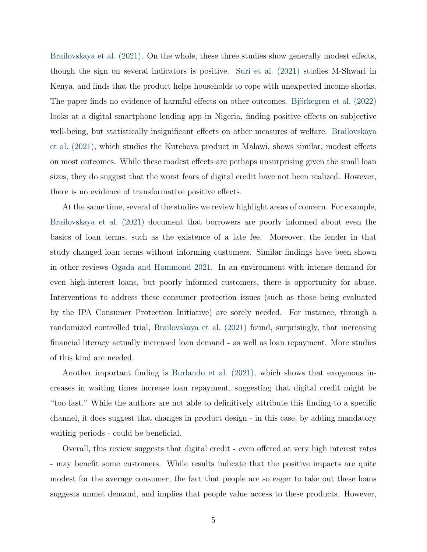[Brailovskaya et al. \(2021\).](#page-24-1) On the whole, these three studies show generally modest effects, though the sign on several indicators is positive. [Suri et al. \(2021\)](#page-26-1) studies M-Shwari in Kenya, and finds that the product helps households to cope with unexpected income shocks. The paper finds no evidence of harmful effects on other outcomes. Björkegren et al. (2022) looks at a digital smartphone lending app in Nigeria, finding positive effects on subjective well-being, but statistically insignificant effects on other measures of welfare. [Brailovskaya](#page-24-1) et al.  $(2021)$ , which studies the Kutchova product in Malawi, shows similar, modest effects on most outcomes. While these modest effects are perhaps unsurprising given the small loan sizes, they do suggest that the worst fears of digital credit have not been realized. However, there is no evidence of transformative positive effects.

At the same time, several of the studies we review highlight areas of concern. For example, [Brailovskaya et al. \(2021\)](#page-24-1) document that borrowers are poorly informed about even the basics of loan terms, such as the existence of a late fee. Moreover, the lender in that study changed loan terms without informing customers. Similar findings have been shown in other reviews [Ogada and Hammond](#page-25-4) [2021.](#page-25-4) In an environment with intense demand for even high-interest loans, but poorly informed customers, there is opportunity for abuse. Interventions to address these consumer protection issues (such as those being evaluated by the IPA Consumer Protection Initiative) are sorely needed. For instance, through a randomized controlled trial, [Brailovskaya et al. \(2021\)](#page-24-1) found, surprisingly, that increasing financial literacy actually increased loan demand - as well as loan repayment. More studies of this kind are needed.

Another important finding is [Burlando et al. \(2021\),](#page-24-4) which shows that exogenous increases in waiting times increase loan repayment, suggesting that digital credit might be "too fast." While the authors are not able to definitively attribute this finding to a specific channel, it does suggest that changes in product design - in this case, by adding mandatory waiting periods - could be beneficial.

Overall, this review suggests that digital credit - even offered at very high interest rates - may benefit some customers. While results indicate that the positive impacts are quite modest for the average consumer, the fact that people are so eager to take out these loans suggests unmet demand, and implies that people value access to these products. However,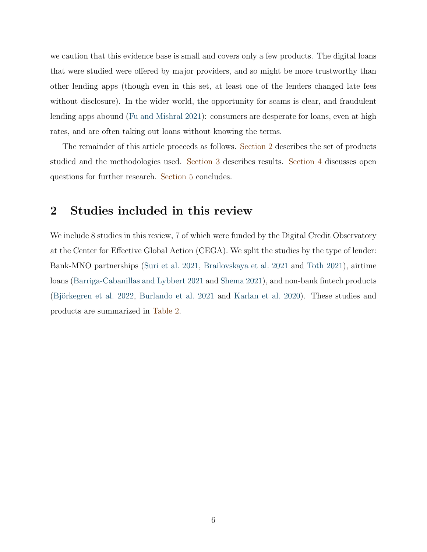we caution that this evidence base is small and covers only a few products. The digital loans that were studied were offered by major providers, and so might be more trustworthy than other lending apps (though even in this set, at least one of the lenders changed late fees without disclosure). In the wider world, the opportunity for scams is clear, and fraudulent lending apps abound [\(Fu and Mishral](#page-25-5) [2021\)](#page-25-5): consumers are desperate for loans, even at high rates, and are often taking out loans without knowing the terms.

The remainder of this article proceeds as follows. [Section 2](#page-7-0) describes the set of products studied and the methodologies used. [Section 3](#page-11-0) describes results. [Section 4](#page-19-0) discusses open questions for further research. [Section 5](#page-22-0) concludes.

## <span id="page-7-0"></span>2 Studies included in this review

We include 8 studies in this review, 7 of which were funded by the Digital Credit Observatory at the Center for Effective Global Action (CEGA). We split the studies by the type of lender: Bank-MNO partnerships [\(Suri et al.](#page-26-1) [2021,](#page-26-1) [Brailovskaya et al.](#page-24-1) [2021](#page-24-1) and Toth [2021\)](#page-26-2), airtime loans [\(Barriga-Cabanillas and Lybbert](#page-24-5) [2021](#page-24-5) and [Shema](#page-26-3) [2021\)](#page-26-3), and non-bank fintech products (Björkegren et al. [2022,](#page-24-3) [Burlando et al.](#page-24-4) [2021](#page-24-4) and [Karlan et al.](#page-25-6) [2020\)](#page-25-6). These studies and products are summarized in [Table 2.](#page-8-0)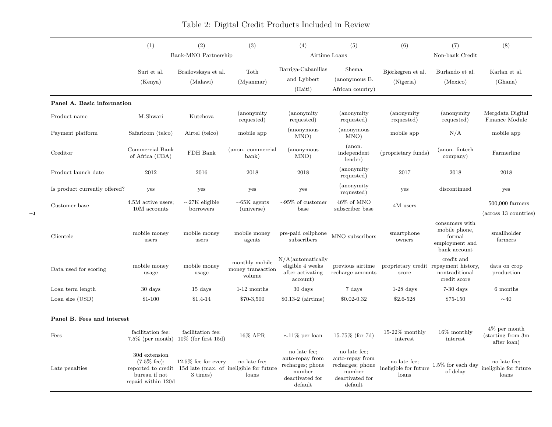<span id="page-8-0"></span>

|                               | (2)<br>(1)<br>(3)<br>Bank-MNO Partnership                                      |                                                                                                  | (4)<br>(5)<br>Airtime Loans                   |                                                                                             | (7)<br>(6)<br>(8)<br>Non-bank Credit                                                        |                                                |                                                                             |                                                      |
|-------------------------------|--------------------------------------------------------------------------------|--------------------------------------------------------------------------------------------------|-----------------------------------------------|---------------------------------------------------------------------------------------------|---------------------------------------------------------------------------------------------|------------------------------------------------|-----------------------------------------------------------------------------|------------------------------------------------------|
|                               | Suri et al.<br>(Kenya)                                                         | Brailovskaya et al.<br>(Malawi)                                                                  | Toth<br>(Mvannar)                             | Barriga-Cabanillas<br>and Lybbert<br>(Haiti)                                                | Shema<br>(anonymous E.<br>African country)                                                  | Björkegren et al.<br>(Nigeria)                 | Burlando et al.<br>(Mexico)                                                 | Karlan et al.<br>(Ghana)                             |
| Panel A. Basic information    |                                                                                |                                                                                                  |                                               |                                                                                             |                                                                                             |                                                |                                                                             |                                                      |
| Product name                  | M-Shwari                                                                       | Kutchova                                                                                         | <i>(anonymity)</i><br>requested)              | (anonymity)<br>requested)                                                                   | (anonymity)<br>requested)                                                                   | (anonymity)<br>requested)                      | <i>(anonymity)</i><br>requested)                                            | Mergdata Digital<br>Finance Module                   |
| Payment platform              | Safaricom (telco)                                                              | Airtel (telco)                                                                                   | mobile app                                    | (anonymous<br>MNO)                                                                          | <i>(anonymous)</i><br>MNO)                                                                  | mobile app                                     | N/A                                                                         | mobile app                                           |
| Creditor                      | Commercial Bank<br>of Africa (CBA)                                             | FDH Bank                                                                                         | (anon. commercial<br>bank)                    | (anonymous<br>MNO)                                                                          | (anon.<br>independent<br>lender)                                                            | (proprietary funds)                            | (anon. fintech<br>company)                                                  | Farmerline                                           |
| Product launch date           | 2012                                                                           | 2016                                                                                             | 2018                                          | 2018                                                                                        | (anonymity)<br>requested)                                                                   | 2017                                           | 2018                                                                        | 2018                                                 |
| Is product currently offered? | yes                                                                            | yes                                                                                              | yes                                           | yes                                                                                         | (anonymity)<br>requested)                                                                   | yes                                            | discontinued                                                                | yes                                                  |
| Customer base                 | 4.5M active users;<br>10M accounts                                             | $\sim$ 27K eligible<br>borrowers                                                                 | $\sim$ 65K agents<br>(universe)               | $\sim 95\%$ of customer<br>base                                                             | 46% of MNO<br>subscriber base                                                               | 4M users                                       |                                                                             | $500,000$ farmers<br>(across 13 countries)           |
| Clientele                     | mobile money<br>users                                                          | mobile money<br>users                                                                            | mobile money<br>agents                        | pre-paid cellphone<br>subscribers                                                           | MNO subscribers                                                                             | smartphone<br>owners                           | consumers with<br>mobile phone,<br>formal<br>employment and<br>bank account | smallholder<br>farmers                               |
| Data used for scoring         | mobile money<br>usage                                                          | mobile money<br>usage                                                                            | monthly mobile<br>money transaction<br>volume | $N/A$ (automatically<br>eligible 4 weeks<br>after activating<br>account)                    | previous airtime<br>recharge amounts                                                        | proprietary credit repayment history,<br>score | credit and<br>nontraditional<br>credit score                                | data on crop<br>production                           |
| Loan term length              | 30 days                                                                        | 15 days                                                                                          | $1-12$ months                                 | 30 days                                                                                     | 7 days                                                                                      | $1-28$ days                                    | $7-30$ days                                                                 | 6 months                                             |
| Loan size (USD)               | $$1-100$                                                                       | $$1.4-14$                                                                                        | \$70-3,500                                    | $$0.13-2$ (airtime)                                                                         | \$0.02-0.32                                                                                 | \$2.6-528                                      | \$75-150                                                                    | $\sim 40$                                            |
| Panel B. Fees and interest    |                                                                                |                                                                                                  |                                               |                                                                                             |                                                                                             |                                                |                                                                             |                                                      |
| Fees                          | facilitation fee:                                                              | facilitation fee:<br>$7.5\%$ (per month) $10\%$ (for first 15d)                                  | 16% APR                                       | $\sim$ 11\% per loan                                                                        | 15-75% (for 7d)                                                                             | $15-22\%$ monthly<br>interest                  | $16\%$ monthly<br>interest                                                  | $4\%$ per month<br>(starting from 3m)<br>after loan) |
| Late penalties                | 30d extension<br>$(7.5\% \text{ fee});$<br>bureau if not<br>repaid within 120d | $12.5\%$ fee for every<br>reported to credit 15d late (max. of ineligible for future<br>3 times) | no late fee;<br>loans                         | no late fee:<br>auto-repay from<br>recharges; phone<br>number<br>deactivated for<br>default | no late fee:<br>auto-repay from<br>recharges; phone<br>number<br>deactivated for<br>default | no late fee;<br>ineligible for future<br>loans | $1.5\%$ for each day<br>of delay                                            | no late fee;<br>ineligible for future<br>loans       |

## Table 2: Digital Credit Products Included in Review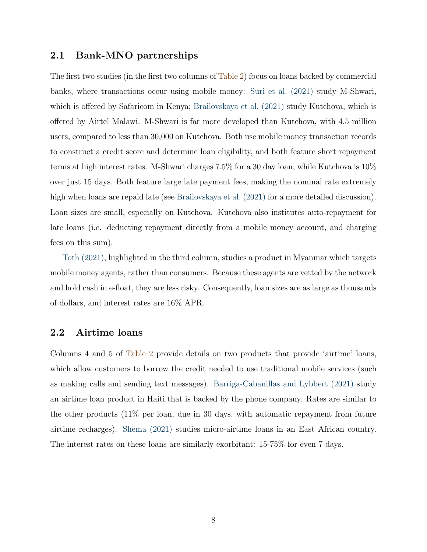#### 2.1 Bank-MNO partnerships

The first two studies (in the first two columns of [Table 2\)](#page-8-0) focus on loans backed by commercial banks, where transactions occur using mobile money: [Suri et al. \(2021\)](#page-26-1) study M-Shwari, which is offered by Safaricom in Kenya; [Brailovskaya et al. \(2021\)](#page-24-1) study Kutchova, which is offered by Airtel Malawi. M-Shwari is far more developed than Kutchova, with 4.5 million users, compared to less than 30,000 on Kutchova. Both use mobile money transaction records to construct a credit score and determine loan eligibility, and both feature short repayment terms at high interest rates. M-Shwari charges 7.5% for a 30 day loan, while Kutchova is 10% over just 15 days. Both feature large late payment fees, making the nominal rate extremely high when loans are repaid late (see Brailovskaya et al.  $(2021)$  for a more detailed discussion). Loan sizes are small, especially on Kutchova. Kutchova also institutes auto-repayment for late loans (i.e. deducting repayment directly from a mobile money account, and charging fees on this sum).

[Toth \(2021\),](#page-26-2) highlighted in the third column, studies a product in Myanmar which targets mobile money agents, rather than consumers. Because these agents are vetted by the network and hold cash in e-float, they are less risky. Consequently, loan sizes are as large as thousands of dollars, and interest rates are 16% APR.

## 2.2 Airtime loans

Columns 4 and 5 of [Table 2](#page-8-0) provide details on two products that provide 'airtime' loans, which allow customers to borrow the credit needed to use traditional mobile services (such as making calls and sending text messages). [Barriga-Cabanillas and Lybbert \(2021\)](#page-24-5) study an airtime loan product in Haiti that is backed by the phone company. Rates are similar to the other products (11% per loan, due in 30 days, with automatic repayment from future airtime recharges). [Shema \(2021\)](#page-26-3) studies micro-airtime loans in an East African country. The interest rates on these loans are similarly exorbitant: 15-75% for even 7 days.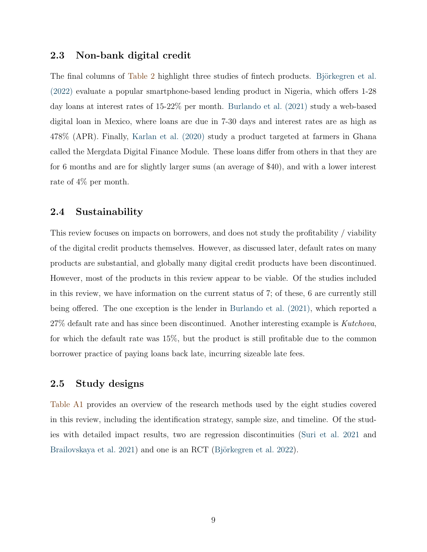### 2.3 Non-bank digital credit

The final columns of [Table 2](#page-8-0) highlight three studies of fintech products. Björkegren et al.  $(2022)$  evaluate a popular smartphone-based lending product in Nigeria, which offers 1-28 day loans at interest rates of 15-22% per month. [Burlando et al. \(2021\)](#page-24-4) study a web-based digital loan in Mexico, where loans are due in 7-30 days and interest rates are as high as 478% (APR). Finally, [Karlan et al. \(2020\)](#page-25-6) study a product targeted at farmers in Ghana called the Mergdata Digital Finance Module. These loans differ from others in that they are for 6 months and are for slightly larger sums (an average of \$40), and with a lower interest rate of 4% per month.

## 2.4 Sustainability

This review focuses on impacts on borrowers, and does not study the profitability / viability of the digital credit products themselves. However, as discussed later, default rates on many products are substantial, and globally many digital credit products have been discontinued. However, most of the products in this review appear to be viable. Of the studies included in this review, we have information on the current status of 7; of these, 6 are currently still being offered. The one exception is the lender in Burlando et al.  $(2021)$ , which reported a 27% default rate and has since been discontinued. Another interesting example is *Kutchova*, for which the default rate was 15%, but the product is still profitable due to the common borrower practice of paying loans back late, incurring sizeable late fees.

## 2.5 Study designs

[Table A1](#page-27-0) provides an overview of the research methods used by the eight studies covered in this review, including the identification strategy, sample size, and timeline. Of the studies with detailed impact results, two are regression discontinuities [\(Suri et al.](#page-26-1) [2021](#page-26-1) and [Brailovskaya et al.](#page-24-1) [2021\)](#page-24-1) and one is an RCT (Björkegren et al. [2022\)](#page-24-3).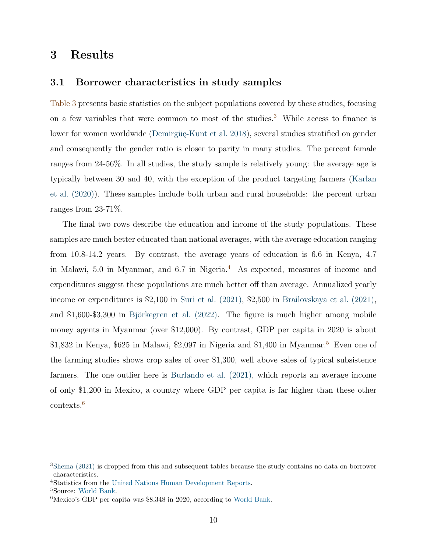## <span id="page-11-0"></span>3 Results

### 3.1 Borrower characteristics in study samples

[Table 3](#page-12-0) presents basic statistics on the subject populations covered by these studies, focusing on a few variables that were common to most of the studies.[3](#page-11-1) While access to finance is lower for women worldwide (Demirgüç-Kunt et al. [2018\)](#page-24-6), several studies stratified on gender and consequently the gender ratio is closer to parity in many studies. The percent female ranges from 24-56%. In all studies, the study sample is relatively young: the average age is typically between 30 and 40, with the exception of the product targeting farmers [\(Karlan](#page-25-6) [et al. \(2020\)\)](#page-25-6). These samples include both urban and rural households: the percent urban ranges from 23-71%.

The final two rows describe the education and income of the study populations. These samples are much better educated than national averages, with the average education ranging from 10.8-14.2 years. By contrast, the average years of education is 6.6 in Kenya, 4.7 in Malawi, 5.0 in Myanmar, and 6.7 in Nigeria.[4](#page-11-2) As expected, measures of income and expenditures suggest these populations are much better off than average. Annualized yearly income or expenditures is \$2,100 in [Suri et al. \(2021\),](#page-26-1) \$2,500 in [Brailovskaya et al. \(2021\),](#page-24-1) and  $$1,600-$3,300$  in Björkegren et al. (2022). The figure is much higher among mobile money agents in Myanmar (over \$12,000). By contrast, GDP per capita in 2020 is about \$1,832 in Kenya, \$62[5](#page-11-3) in Malawi, \$2,097 in Nigeria and \$1,400 in Myanmar.<sup>5</sup> Even one of the farming studies shows crop sales of over \$1,300, well above sales of typical subsistence farmers. The one outlier here is [Burlando et al. \(2021\),](#page-24-4) which reports an average income of only \$1,200 in Mexico, a country where GDP per capita is far higher than these other contexts.[6](#page-11-4)

<span id="page-11-1"></span><sup>3</sup>[Shema \(2021\)](#page-26-3) is dropped from this and subsequent tables because the study contains no data on borrower characteristics.

<span id="page-11-2"></span><sup>4</sup>Statistics from the [United Nations Human Development Reports.](http://hdr.undp.org/en/indicators/103006)

<span id="page-11-3"></span><sup>5</sup>Source: [World Bank.](https://data.worldbank.org/indicator/NY.GDP.PCAP.CD)

<span id="page-11-4"></span><sup>6</sup>Mexico's GDP per capita was \$8,348 in 2020, according to [World Bank.](https://data.worldbank.org/indicator/NY.GDP.PCAP.CD?locations=MX)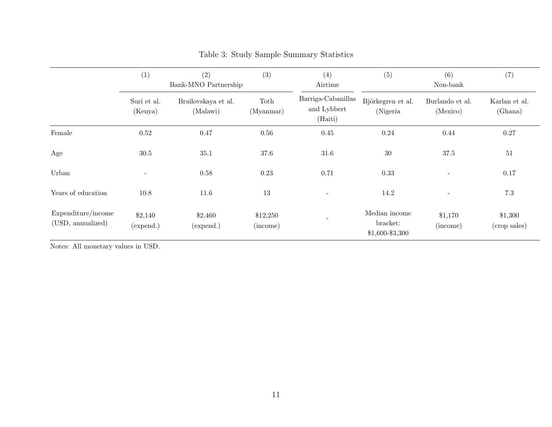|                                         | (1)<br>(2)<br>(3)<br>Bank-MNO Partnership |                                 |                      | (4)<br>Airtime                               | (5)<br>(6)<br>(7)<br>Non-bank                  |                             |                          |  |
|-----------------------------------------|-------------------------------------------|---------------------------------|----------------------|----------------------------------------------|------------------------------------------------|-----------------------------|--------------------------|--|
|                                         | Suri et al.<br>(Kenya)                    | Brailovskaya et al.<br>(Malawi) | Toth<br>(Myannar)    | Barriga-Cabanillas<br>and Lybbert<br>(Haiti) | Björkegren et al.<br>(Nigeria                  | Burlando et al.<br>(Mexico) | Karlan et al.<br>(Ghana) |  |
| Female                                  | 0.52                                      | 0.47                            | 0.56                 | 0.45                                         | 0.24                                           | 0.44                        | $0.27\,$                 |  |
| Age                                     | 30.5                                      | 35.1                            | 37.6                 | 31.6                                         | 30                                             | 37.5                        | 51                       |  |
| Urban                                   | $\overline{\phantom{a}}$                  | 0.58                            | 0.23                 | 0.71                                         | 0.33                                           | $\overline{\phantom{a}}$    | 0.17                     |  |
| Years of education                      | 10.8                                      | 11.6                            | 13                   | $\overline{\phantom{a}}$                     | 14.2                                           | $\overline{\phantom{a}}$    | $7.3\,$                  |  |
| Expenditure/income<br>(USD, annualized) | \$2,140<br>(expend.)                      | \$2,460<br>(expend.)            | \$12,250<br>(income) |                                              | Median income<br>bracket:<br>$$1,600 - $3,300$ | \$1,170<br>(income)         | \$1,300<br>(crop sales)  |  |

## Table 3: Study Sample Summary Statistics

<span id="page-12-0"></span>Notes: All monetary values in USD.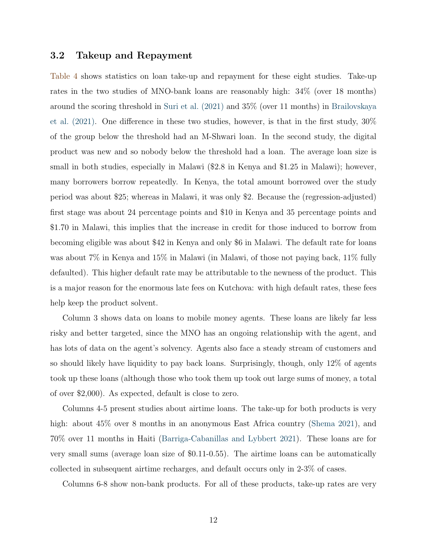## 3.2 Takeup and Repayment

[Table 4](#page-15-0) shows statistics on loan take-up and repayment for these eight studies. Take-up rates in the two studies of MNO-bank loans are reasonably high: 34% (over 18 months) around the scoring threshold in [Suri et al. \(2021\)](#page-26-1) and 35% (over 11 months) in [Brailovskaya](#page-24-1) et al.  $(2021)$ . One difference in these two studies, however, is that in the first study,  $30\%$ of the group below the threshold had an M-Shwari loan. In the second study, the digital product was new and so nobody below the threshold had a loan. The average loan size is small in both studies, especially in Malawi (\$2.8 in Kenya and \$1.25 in Malawi); however, many borrowers borrow repeatedly. In Kenya, the total amount borrowed over the study period was about \$25; whereas in Malawi, it was only \$2. Because the (regression-adjusted) first stage was about 24 percentage points and \$10 in Kenya and 35 percentage points and \$1.70 in Malawi, this implies that the increase in credit for those induced to borrow from becoming eligible was about \$42 in Kenya and only \$6 in Malawi. The default rate for loans was about 7% in Kenya and 15% in Malawi (in Malawi, of those not paying back, 11% fully defaulted). This higher default rate may be attributable to the newness of the product. This is a major reason for the enormous late fees on Kutchova: with high default rates, these fees help keep the product solvent.

Column 3 shows data on loans to mobile money agents. These loans are likely far less risky and better targeted, since the MNO has an ongoing relationship with the agent, and has lots of data on the agent's solvency. Agents also face a steady stream of customers and so should likely have liquidity to pay back loans. Surprisingly, though, only 12% of agents took up these loans (although those who took them up took out large sums of money, a total of over \$2,000). As expected, default is close to zero.

Columns 4-5 present studies about airtime loans. The take-up for both products is very high: about  $45\%$  over 8 months in an anonymous East Africa country [\(Shema](#page-26-3) [2021\)](#page-26-3), and 70% over 11 months in Haiti [\(Barriga-Cabanillas and Lybbert](#page-24-5) [2021\)](#page-24-5). These loans are for very small sums (average loan size of \$0.11-0.55). The airtime loans can be automatically collected in subsequent airtime recharges, and default occurs only in 2-3% of cases.

Columns 6-8 show non-bank products. For all of these products, take-up rates are very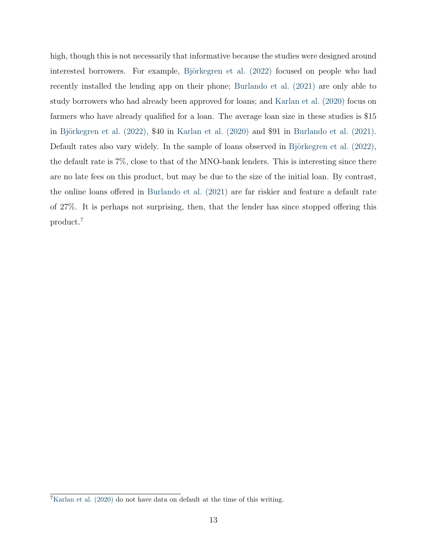high, though this is not necessarily that informative because the studies were designed around interested borrowers. For example, Björkegren et al. (2022) focused on people who had recently installed the lending app on their phone; [Burlando et al. \(2021\)](#page-24-4) are only able to study borrowers who had already been approved for loans; and [Karlan et al. \(2020\)](#page-25-6) focus on farmers who have already qualified for a loan. The average loan size in these studies is \$15 in Björkegren et al.  $(2022)$ , \$40 in Karlan et al.  $(2020)$  and \$91 in Burlando et al.  $(2021)$ . Default rates also vary widely. In the sample of loans observed in Björkegren et al.  $(2022)$ , the default rate is 7%, close to that of the MNO-bank lenders. This is interesting since there are no late fees on this product, but may be due to the size of the initial loan. By contrast, the online loans offered in Burlando et al.  $(2021)$  are far riskier and feature a default rate of  $27\%$ . It is perhaps not surprising, then, that the lender has since stopped offering this product.[7](#page-14-0)

<span id="page-14-0"></span><sup>7</sup>[Karlan et al. \(2020\)](#page-25-6) do not have data on default at the time of this writing.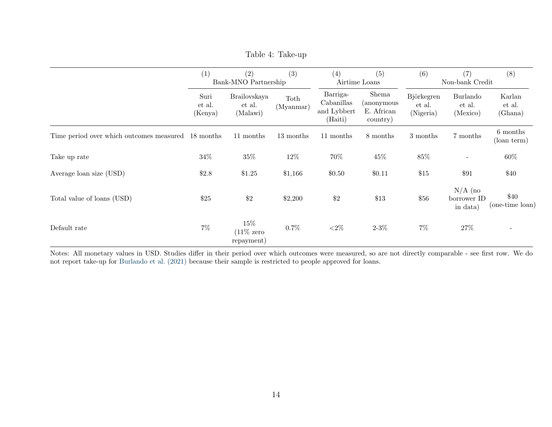|                                                    | (2)<br>(1)<br>Bank-MNO Partnership |                                               | (3)               | (4)<br>(5)<br>Airtime Loans                      |                                               | (6)<br>(7)<br>Non-bank Credit     |                                      | (8)                         |
|----------------------------------------------------|------------------------------------|-----------------------------------------------|-------------------|--------------------------------------------------|-----------------------------------------------|-----------------------------------|--------------------------------------|-----------------------------|
|                                                    | Suri<br>et al.<br>(Kenya)          | Brailovskaya<br>et al.<br>(Malawi)            | Toth<br>(Myannar) | Barriga-<br>Cabanillas<br>and Lybbert<br>(Haiti) | Shema<br>(anonymous<br>E. African<br>country) | Björkegren<br>et al.<br>(Nigeria) | Burlando<br>et al.<br>(Mexico)       | Karlan<br>et al.<br>(Ghana) |
| Time period over which outcomes measured 18 months |                                    | 11 months                                     | 13 months         | 11 months                                        | 8 months                                      | 3 months                          | 7 months                             | 6 months<br>(loan term)     |
| Take up rate                                       | $34\%$                             | $35\%$                                        | 12%               | 70%                                              | 45%                                           | 85%                               |                                      | 60%                         |
| Average loan size (USD)                            | \$2.8                              | \$1.25                                        | \$1,166           | \$0.50                                           | \$0.11                                        | \$15                              | \$91                                 | \$40                        |
| Total value of loans (USD)                         | \$25                               | \$2                                           | \$2,200           | \$2                                              | \$13                                          | \$56                              | $N/A$ (no<br>borrower ID<br>in data) | $\$40$<br>(one-time loan)   |
| Default rate                                       | $7\%$                              | $15\%$<br>$(11\% \text{ zero})$<br>repayment) | $0.7\%$           | ${<}2\%$                                         | $2 - 3\%$                                     | $7\%$                             | $27\%$                               |                             |

Table 4: Take-up

<span id="page-15-0"></span>Notes: All monetary values in USD. Studies differ in their period over which outcomes were measured, so are not directly comparable - see first row. We do not report take-up for [Burlando](#page-24-7) et al. (2021) because their sample is restricted to people approved for loans.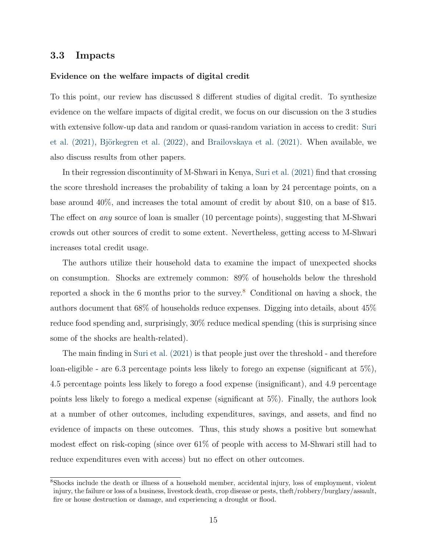## 3.3 Impacts

#### Evidence on the welfare impacts of digital credit

To this point, our review has discussed 8 different studies of digital credit. To synthesize evidence on the welfare impacts of digital credit, we focus on our discussion on the 3 studies with extensive follow-up data and random or quasi-random variation in access to credit: [Suri](#page-26-1) et al.  $(2021)$ , Björkegren et al.  $(2022)$ , and Brailovskaya et al.  $(2021)$ . When available, we also discuss results from other papers.

In their regression discontinuity of M-Shwari in Kenya, [Suri et al. \(2021\)](#page-26-1) find that crossing the score threshold increases the probability of taking a loan by 24 percentage points, on a base around 40%, and increases the total amount of credit by about \$10, on a base of \$15. The effect on *any* source of loan is smaller (10 percentage points), suggesting that M-Shwari crowds out other sources of credit to some extent. Nevertheless, getting access to M-Shwari increases total credit usage.

The authors utilize their household data to examine the impact of unexpected shocks on consumption. Shocks are extremely common: 89% of households below the threshold reported a shock in the 6 months prior to the survey.[8](#page-16-0) Conditional on having a shock, the authors document that 68% of households reduce expenses. Digging into details, about 45% reduce food spending and, surprisingly, 30% reduce medical spending (this is surprising since some of the shocks are health-related).

The main finding in [Suri et al. \(2021\)](#page-26-1) is that people just over the threshold - and therefore loan-eligible - are 6.3 percentage points less likely to forego an expense (significant at 5%), 4.5 percentage points less likely to forego a food expense (insignificant), and 4.9 percentage points less likely to forego a medical expense (significant at 5%). Finally, the authors look at a number of other outcomes, including expenditures, savings, and assets, and find no evidence of impacts on these outcomes. Thus, this study shows a positive but somewhat modest effect on risk-coping (since over  $61\%$  of people with access to M-Shwari still had to reduce expenditures even with access) but no effect on other outcomes.

<span id="page-16-0"></span><sup>8</sup>Shocks include the death or illness of a household member, accidental injury, loss of employment, violent injury, the failure or loss of a business, livestock death, crop disease or pests, theft/robbery/burglary/assault, fire or house destruction or damage, and experiencing a drought or flood.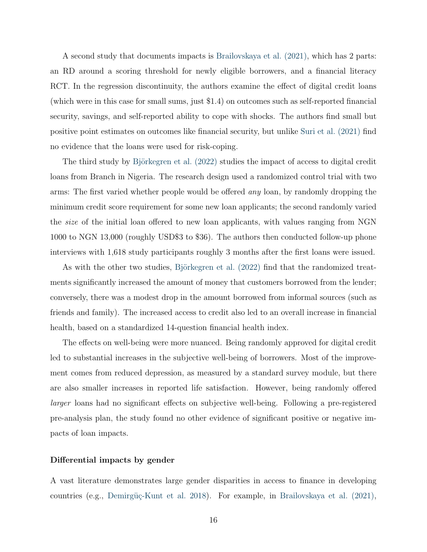A second study that documents impacts is [Brailovskaya et al. \(2021\),](#page-24-1) which has 2 parts: an RD around a scoring threshold for newly eligible borrowers, and a financial literacy RCT. In the regression discontinuity, the authors examine the effect of digital credit loans (which were in this case for small sums, just \$1.4) on outcomes such as self-reported financial security, savings, and self-reported ability to cope with shocks. The authors find small but positive point estimates on outcomes like financial security, but unlike [Suri et al. \(2021\)](#page-26-1) find no evidence that the loans were used for risk-coping.

The third study by Björkegren et al. (2022) studies the impact of access to digital credit loans from Branch in Nigeria. The research design used a randomized control trial with two arms: The first varied whether people would be offered *any* loan, by randomly dropping the minimum credit score requirement for some new loan applicants; the second randomly varied the *size* of the initial loan offered to new loan applicants, with values ranging from NGN 1000 to NGN 13,000 (roughly USD\$3 to \$36). The authors then conducted follow-up phone interviews with 1,618 study participants roughly 3 months after the first loans were issued.

As with the other two studies, Björkegren et al. (2022) find that the randomized treatments significantly increased the amount of money that customers borrowed from the lender; conversely, there was a modest drop in the amount borrowed from informal sources (such as friends and family). The increased access to credit also led to an overall increase in financial health, based on a standardized 14-question financial health index.

The effects on well-being were more nuanced. Being randomly approved for digital credit led to substantial increases in the subjective well-being of borrowers. Most of the improvement comes from reduced depression, as measured by a standard survey module, but there are also smaller increases in reported life satisfaction. However, being randomly offered *larger* loans had no significant effects on subjective well-being. Following a pre-registered pre-analysis plan, the study found no other evidence of significant positive or negative impacts of loan impacts.

#### Differential impacts by gender

A vast literature demonstrates large gender disparities in access to finance in developing countries (e.g., Demirgüç-Kunt et al. [2018\)](#page-24-6). For example, in [Brailovskaya et al. \(2021\),](#page-24-1)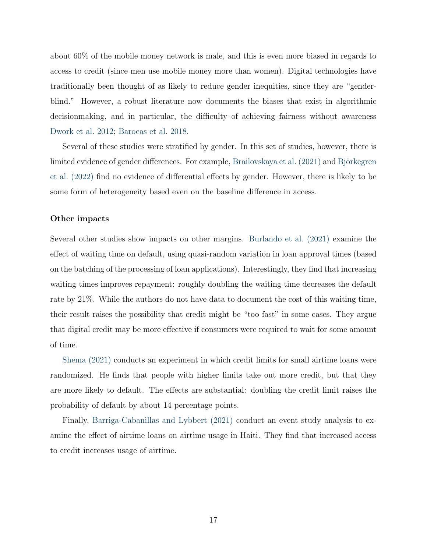about 60% of the mobile money network is male, and this is even more biased in regards to access to credit (since men use mobile money more than women). Digital technologies have traditionally been thought of as likely to reduce gender inequities, since they are "genderblind." However, a robust literature now documents the biases that exist in algorithmic decisionmaking, and in particular, the difficulty of achieving fairness without awareness [Dwork et al.](#page-25-7) [2012;](#page-25-7) [Barocas et al.](#page-24-8) [2018.](#page-24-8)

Several of these studies were stratified by gender. In this set of studies, however, there is limited evidence of gender differences. For example, [Brailovskaya et al. \(2021\)](#page-24-1) and Björkegren [et al. \(2022\)](#page-24-3) find no evidence of differential effects by gender. However, there is likely to be some form of heterogeneity based even on the baseline difference in access.

#### Other impacts

Several other studies show impacts on other margins. [Burlando et al. \(2021\)](#page-24-4) examine the effect of waiting time on default, using quasi-random variation in loan approval times (based on the batching of the processing of loan applications). Interestingly, they find that increasing waiting times improves repayment: roughly doubling the waiting time decreases the default rate by 21%. While the authors do not have data to document the cost of this waiting time, their result raises the possibility that credit might be "too fast" in some cases. They argue that digital credit may be more effective if consumers were required to wait for some amount of time.

[Shema \(2021\)](#page-26-3) conducts an experiment in which credit limits for small airtime loans were randomized. He finds that people with higher limits take out more credit, but that they are more likely to default. The effects are substantial: doubling the credit limit raises the probability of default by about 14 percentage points.

Finally, [Barriga-Cabanillas and Lybbert \(2021\)](#page-24-5) conduct an event study analysis to examine the effect of airtime loans on airtime usage in Haiti. They find that increased access to credit increases usage of airtime.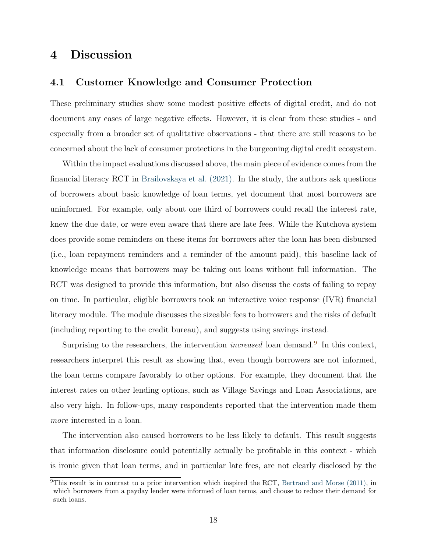## <span id="page-19-0"></span>4 Discussion

#### 4.1 Customer Knowledge and Consumer Protection

These preliminary studies show some modest positive effects of digital credit, and do not document any cases of large negative effects. However, it is clear from these studies - and especially from a broader set of qualitative observations - that there are still reasons to be concerned about the lack of consumer protections in the burgeoning digital credit ecosystem.

Within the impact evaluations discussed above, the main piece of evidence comes from the financial literacy RCT in [Brailovskaya et al. \(2021\).](#page-24-1) In the study, the authors ask questions of borrowers about basic knowledge of loan terms, yet document that most borrowers are uninformed. For example, only about one third of borrowers could recall the interest rate, knew the due date, or were even aware that there are late fees. While the Kutchova system does provide some reminders on these items for borrowers after the loan has been disbursed (i.e., loan repayment reminders and a reminder of the amount paid), this baseline lack of knowledge means that borrowers may be taking out loans without full information. The RCT was designed to provide this information, but also discuss the costs of failing to repay on time. In particular, eligible borrowers took an interactive voice response (IVR) financial literacy module. The module discusses the sizeable fees to borrowers and the risks of default (including reporting to the credit bureau), and suggests using savings instead.

Surprising to the researchers, the intervention *increased* loan demand.<sup>[9](#page-19-1)</sup> In this context, researchers interpret this result as showing that, even though borrowers are not informed, the loan terms compare favorably to other options. For example, they document that the interest rates on other lending options, such as Village Savings and Loan Associations, are also very high. In follow-ups, many respondents reported that the intervention made them *more* interested in a loan.

The intervention also caused borrowers to be less likely to default. This result suggests that information disclosure could potentially actually be profitable in this context - which is ironic given that loan terms, and in particular late fees, are not clearly disclosed by the

<span id="page-19-1"></span> $9$ This result is in contrast to a prior intervention which inspired the RCT, [Bertrand and Morse \(2011\),](#page-24-9) in which borrowers from a payday lender were informed of loan terms, and choose to reduce their demand for such loans.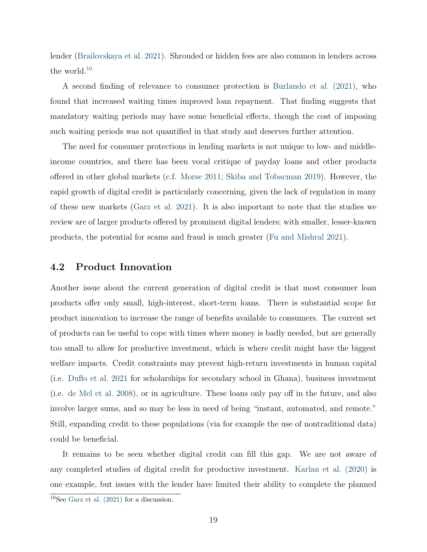lender [\(Brailovskaya et al.](#page-24-1) [2021\)](#page-24-1). Shrouded or hidden fees are also common in lenders across the world.<sup>[10](#page-20-0)</sup>

A second finding of relevance to consumer protection is [Burlando et al. \(2021\),](#page-24-4) who found that increased waiting times improved loan repayment. That finding suggests that mandatory waiting periods may have some beneficial effects, though the cost of imposing such waiting periods was not quantified in that study and deserves further attention.

The need for consumer protections in lending markets is not unique to low- and middleincome countries, and there has been vocal critique of payday loans and other products offered in other global markets (c.f. [Morse](#page-25-8) [2011;](#page-25-8) [Skiba and Tobacman](#page-26-4) [2019\)](#page-26-4). However, the rapid growth of digital credit is particularly concerning, given the lack of regulation in many of these new markets [\(Garz et al.](#page-25-2) [2021\)](#page-25-2). It is also important to note that the studies we review are of larger products offered by prominent digital lenders; with smaller, lesser-known products, the potential for scams and fraud is much greater [\(Fu and Mishral](#page-25-5) [2021\)](#page-25-5).

#### 4.2 Product Innovation

Another issue about the current generation of digital credit is that most consumer loan products offer only small, high-interest, short-term loans. There is substantial scope for product innovation to increase the range of benefits available to consumers. The current set of products can be useful to cope with times where money is badly needed, but are generally too small to allow for productive investment, which is where credit might have the biggest welfare impacts. Credit constraints may prevent high-return investments in human capital (i.e. [Duflo et al.](#page-25-9) [2021](#page-25-9) for scholarships for secondary school in Ghana), business investment (i.e. [de Mel et al.](#page-24-10) [2008\)](#page-24-10), or in agriculture. These loans only pay off in the future, and also involve larger sums, and so may be less in need of being "instant, automated, and remote." Still, expanding credit to these populations (via for example the use of nontraditional data) could be beneficial.

It remains to be seen whether digital credit can fill this gap. We are not aware of any completed studies of digital credit for productive investment. [Karlan et al. \(2020\)](#page-25-6) is one example, but issues with the lender have limited their ability to complete the planned

<span id="page-20-0"></span> $10$ See [Garz et al. \(2021\)](#page-25-2) for a discussion.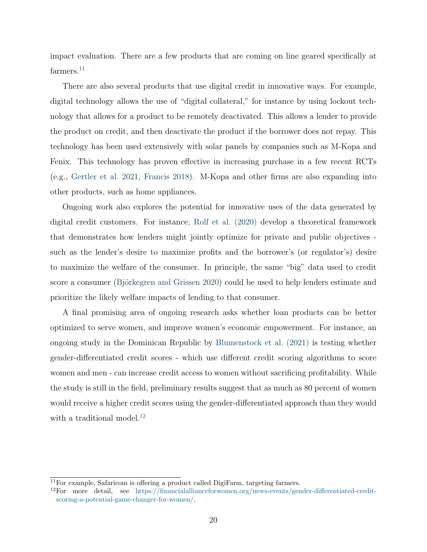impact evaluation. There are a few products that are coming on line geared specifically at farmers.<sup>[11](#page-21-0)</sup>

There are also several products that use digital credit in innovative ways. For example, digital technology allows the use of "digital collateral," for instance by using lockout technology that allows for a product to be remotely deactivated. This allows a lender to provide the product on credit, and then deactivate the product if the borrower does not repay. This technology has been used extensively with solar panels by companies such as M-Kopa and Fenix. This technology has proven effective in increasing purchase in a few recent RCTs (e.g., [Gertler et al.](#page-25-10) [2021,](#page-25-10) [Francis](#page-25-11) [2018\)](#page-25-11). M-Kopa and other firms are also expanding into other products, such as home appliances.

Ongoing work also explores the potential for innovative uses of the data generated by digital credit customers. For instance, [Rolf et al. \(2020\)](#page-25-12) develop a theoretical framework that demonstrates how lenders might jointly optimize for private and public objectives such as the lender's desire to maximize profits and the borrower's (or regulator's) desire to maximize the welfare of the consumer. In principle, the same "big" data used to credit score a consumer (Björkegren and Grissen [2020\)](#page-24-11) could be used to help lenders estimate and prioritize the likely welfare impacts of lending to that consumer.

A final promising area of ongoing research asks whether loan products can be better optimized to serve women, and improve women's economic empowerment. For instance, an ongoing study in the Dominican Republic by [Blumenstock et al. \(2021\)](#page-24-12) is testing whether gender-differentiated credit scores - which use different credit scoring algorithms to score women and men - can increase credit access to women without sacrificing profitability. While the study is still in the field, preliminary results suggest that as much as 80 percent of women would receive a higher credit scores using the gender-differentiated approach than they would with a traditional model. $^{12}$  $^{12}$  $^{12}$ 

<span id="page-21-0"></span> $11$ For example, Safaricom is offering a product called DigiFarm, targeting farmers.

<span id="page-21-1"></span> $12$ For more detail, see [https://financialallianceforwomen.org/news-events/gender-di](https://financialallianceforwomen.org/news-events/gender-differentiated-credit-scoring-a-potential-game-changer-for-women/)fferentiated-credit[scoring-a-potential-game-changer-for-women/.](https://financialallianceforwomen.org/news-events/gender-differentiated-credit-scoring-a-potential-game-changer-for-women/)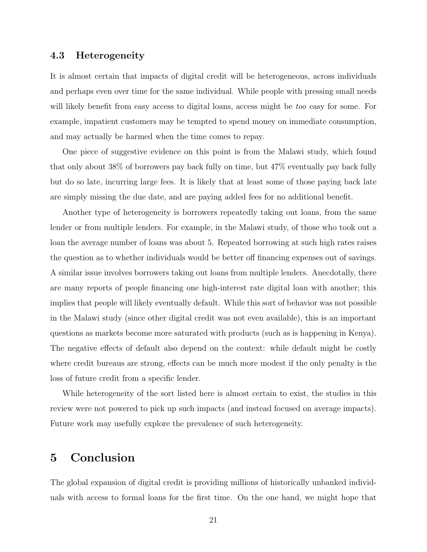## 4.3 Heterogeneity

It is almost certain that impacts of digital credit will be heterogeneous, across individuals and perhaps even over time for the same individual. While people with pressing small needs will likely benefit from easy access to digital loans, access might be *too* easy for some. For example, impatient customers may be tempted to spend money on immediate consumption, and may actually be harmed when the time comes to repay.

One piece of suggestive evidence on this point is from the Malawi study, which found that only about 38% of borrowers pay back fully on time, but 47% eventually pay back fully but do so late, incurring large fees. It is likely that at least some of those paying back late are simply missing the due date, and are paying added fees for no additional benefit.

Another type of heterogeneity is borrowers repeatedly taking out loans, from the same lender or from multiple lenders. For example, in the Malawi study, of those who took out a loan the average number of loans was about 5. Repeated borrowing at such high rates raises the question as to whether individuals would be better off financing expenses out of savings. A similar issue involves borrowers taking out loans from multiple lenders. Anecdotally, there are many reports of people financing one high-interest rate digital loan with another; this implies that people will likely eventually default. While this sort of behavior was not possible in the Malawi study (since other digital credit was not even available), this is an important questions as markets become more saturated with products (such as is happening in Kenya). The negative effects of default also depend on the context: while default might be costly where credit bureaus are strong, effects can be much more modest if the only penalty is the loss of future credit from a specific lender.

While heterogeneity of the sort listed here is almost certain to exist, the studies in this review were not powered to pick up such impacts (and instead focused on average impacts). Future work may usefully explore the prevalence of such heterogeneity.

## <span id="page-22-0"></span>5 Conclusion

The global expansion of digital credit is providing millions of historically unbanked individuals with access to formal loans for the first time. On the one hand, we might hope that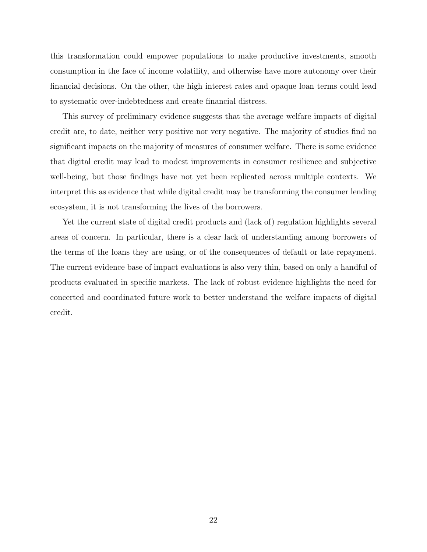this transformation could empower populations to make productive investments, smooth consumption in the face of income volatility, and otherwise have more autonomy over their financial decisions. On the other, the high interest rates and opaque loan terms could lead to systematic over-indebtedness and create financial distress.

This survey of preliminary evidence suggests that the average welfare impacts of digital credit are, to date, neither very positive nor very negative. The majority of studies find no significant impacts on the majority of measures of consumer welfare. There is some evidence that digital credit may lead to modest improvements in consumer resilience and subjective well-being, but those findings have not yet been replicated across multiple contexts. We interpret this as evidence that while digital credit may be transforming the consumer lending ecosystem, it is not transforming the lives of the borrowers.

Yet the current state of digital credit products and (lack of) regulation highlights several areas of concern. In particular, there is a clear lack of understanding among borrowers of the terms of the loans they are using, or of the consequences of default or late repayment. The current evidence base of impact evaluations is also very thin, based on only a handful of products evaluated in specific markets. The lack of robust evidence highlights the need for concerted and coordinated future work to better understand the welfare impacts of digital credit.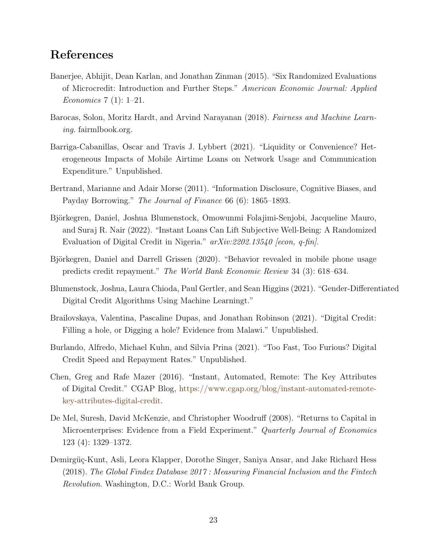## <span id="page-24-7"></span>References

- <span id="page-24-2"></span>Banerjee, Abhijit, Dean Karlan, and Jonathan Zinman (2015). "Six Randomized Evaluations of Microcredit: Introduction and Further Steps." *American Economic Journal: Applied Economics* 7 (1): 1–21.
- <span id="page-24-8"></span>Barocas, Solon, Moritz Hardt, and Arvind Narayanan (2018). *Fairness and Machine Learning*. fairmlbook.org.
- <span id="page-24-5"></span>Barriga-Cabanillas, Oscar and Travis J. Lybbert (2021). "Liquidity or Convenience? Heterogeneous Impacts of Mobile Airtime Loans on Network Usage and Communication Expenditure." Unpublished.
- <span id="page-24-9"></span>Bertrand, Marianne and Adair Morse (2011). "Information Disclosure, Cognitive Biases, and Payday Borrowing." *The Journal of Finance* 66 (6): 1865–1893.
- <span id="page-24-3"></span>Björkegren, Daniel, Joshua Blumenstock, Omowunmi Folajimi-Senjobi, Jacqueline Mauro, and Suraj R. Nair (2022). "Instant Loans Can Lift Subjective Well-Being: A Randomized Evaluation of Digital Credit in Nigeria." *arXiv:2202.13540 [econ, q-fin]*.
- <span id="page-24-11"></span>Björkegren, Daniel and Darrell Grissen (2020). "Behavior revealed in mobile phone usage predicts credit repayment." *The World Bank Economic Review* 34 (3): 618–634.
- <span id="page-24-12"></span>Blumenstock, Joshua, Laura Chioda, Paul Gertler, and Sean Higgins (2021). "Gender-Differentiated Digital Credit Algorithms Using Machine Learningt."
- <span id="page-24-1"></span>Brailovskaya, Valentina, Pascaline Dupas, and Jonathan Robinson (2021). "Digital Credit: Filling a hole, or Digging a hole? Evidence from Malawi." Unpublished.
- <span id="page-24-4"></span>Burlando, Alfredo, Michael Kuhn, and Silvia Prina (2021). "Too Fast, Too Furious? Digital Credit Speed and Repayment Rates." Unpublished.
- <span id="page-24-0"></span>Chen, Greg and Rafe Mazer (2016). "Instant, Automated, Remote: The Key Attributes of Digital Credit." CGAP Blog, [https://www.cgap.org/blog/instant-automated-remote](#page-1-0)[key-attributes-digital-credit.](#page-1-0)
- <span id="page-24-10"></span>De Mel, Suresh, David McKenzie, and Christopher Woodruff (2008). "Returns to Capital in Microenterprises: Evidence from a Field Experiment." *Quarterly Journal of Economics* 123 (4): 1329–1372.
- <span id="page-24-6"></span>Demirgüç-Kunt, Asli, Leora Klapper, Dorothe Singer, Saniya Ansar, and Jake Richard Hess (2018). *The Global Findex Database 2017 : Measuring Financial Inclusion and the Fintech Revolution*. Washington, D.C.: World Bank Group.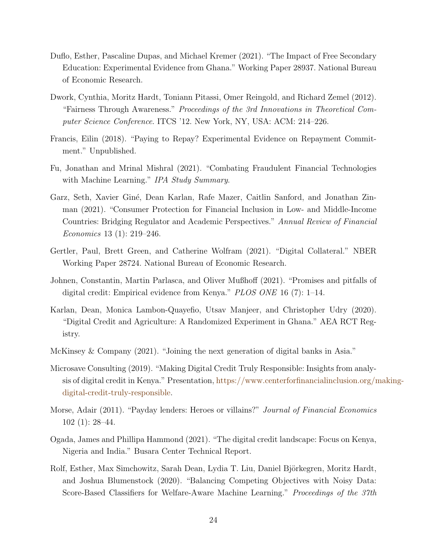- <span id="page-25-9"></span>Duflo, Esther, Pascaline Dupas, and Michael Kremer (2021). "The Impact of Free Secondary Education: Experimental Evidence from Ghana." Working Paper 28937. National Bureau of Economic Research.
- <span id="page-25-7"></span>Dwork, Cynthia, Moritz Hardt, Toniann Pitassi, Omer Reingold, and Richard Zemel (2012). "Fairness Through Awareness." *Proceedings of the 3rd Innovations in Theoretical Computer Science Conference*. ITCS '12. New York, NY, USA: ACM: 214–226.
- <span id="page-25-11"></span>Francis, Eilin (2018). "Paying to Repay? Experimental Evidence on Repayment Commitment." Unpublished.
- <span id="page-25-5"></span>Fu, Jonathan and Mrinal Mishral (2021). "Combating Fraudulent Financial Technologies with Machine Learning." *IPA Study Summary*.
- <span id="page-25-2"></span>Garz, Seth, Xavier Giné, Dean Karlan, Rafe Mazer, Caitlin Sanford, and Jonathan Zinman (2021). "Consumer Protection for Financial Inclusion in Low- and Middle-Income Countries: Bridging Regulator and Academic Perspectives." *Annual Review of Financial Economics* 13 (1): 219–246.
- <span id="page-25-10"></span>Gertler, Paul, Brett Green, and Catherine Wolfram (2021). "Digital Collateral." NBER Working Paper 28724. National Bureau of Economic Research.
- <span id="page-25-3"></span>Johnen, Constantin, Martin Parlasca, and Oliver Mußhoff (2021). "Promises and pitfalls of digital credit: Empirical evidence from Kenya." *PLOS ONE* 16 (7): 1–14.
- <span id="page-25-6"></span>Karlan, Dean, Monica Lambon-Quayefio, Utsav Manjeer, and Christopher Udry (2020). "Digital Credit and Agriculture: A Randomized Experiment in Ghana." AEA RCT Registry.
- <span id="page-25-0"></span>McKinsey & Company (2021). "Joining the next generation of digital banks in Asia."
- <span id="page-25-1"></span>Microsave Consulting (2019). "Making Digital Credit Truly Responsible: Insights from analysis of digital credit in Kenya." Presentation, [https://www.centerforfinancialinclusion.org/m](#page-1-0)aking[digital-credit-truly-responsible.](#page-1-0)
- <span id="page-25-8"></span>Morse, Adair (2011). "Payday lenders: Heroes or villains?" *Journal of Financial Economics* 102 (1): 28–44.
- <span id="page-25-4"></span>Ogada, James and Phillipa Hammond (2021). "The digital credit landscape: Focus on Kenya, Nigeria and India." Busara Center Technical Report.
- <span id="page-25-12"></span>Rolf, Esther, Max Simchowitz, Sarah Dean, Lydia T. Liu, Daniel Björkegren, Moritz Hardt, and Joshua Blumenstock (2020). "Balancing Competing Objectives with Noisy Data: Score-Based Classifiers for Welfare-Aware Machine Learning." *Proceedings of the 37th*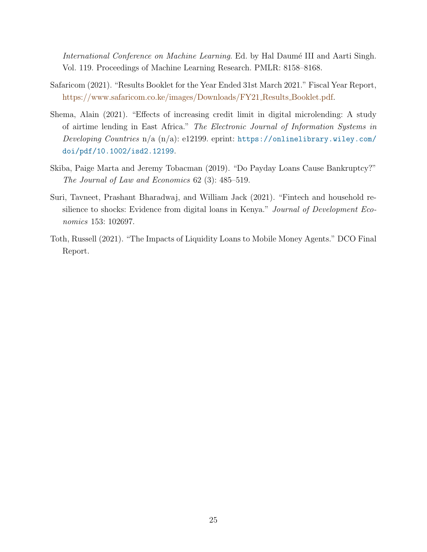*International Conference on Machine Learning*. Ed. by Hal Daumé III and Aarti Singh. Vol. 119. Proceedings of Machine Learning Research. PMLR: 8158–8168.

- <span id="page-26-0"></span>Safaricom (2021). "Results Booklet for the Year Ended 31st March 2021." Fiscal Year Report, [https://www.safaricom.co.ke/images/Downloads/FY21](#page-1-0) Results Booklet.pdf.
- <span id="page-26-3"></span>Shema, Alain (2021). "Effects of increasing credit limit in digital microlending: A study of airtime lending in East Africa." *The Electronic Journal of Information Systems in Developing Countries* n/a (n/a): e12199. eprint: [https://onlinelibrary.wiley.com/](https://onlinelibrary.wiley.com/doi/pdf/10.1002/isd2.12199) [doi/pdf/10.1002/isd2.12199](https://onlinelibrary.wiley.com/doi/pdf/10.1002/isd2.12199).
- <span id="page-26-4"></span>Skiba, Paige Marta and Jeremy Tobacman (2019). "Do Payday Loans Cause Bankruptcy?" *The Journal of Law and Economics* 62 (3): 485–519.
- <span id="page-26-1"></span>Suri, Tavneet, Prashant Bharadwaj, and William Jack (2021). "Fintech and household resilience to shocks: Evidence from digital loans in Kenya." *Journal of Development Economics* 153: 102697.
- <span id="page-26-2"></span>Toth, Russell (2021). "The Impacts of Liquidity Loans to Mobile Money Agents." DCO Final Report.